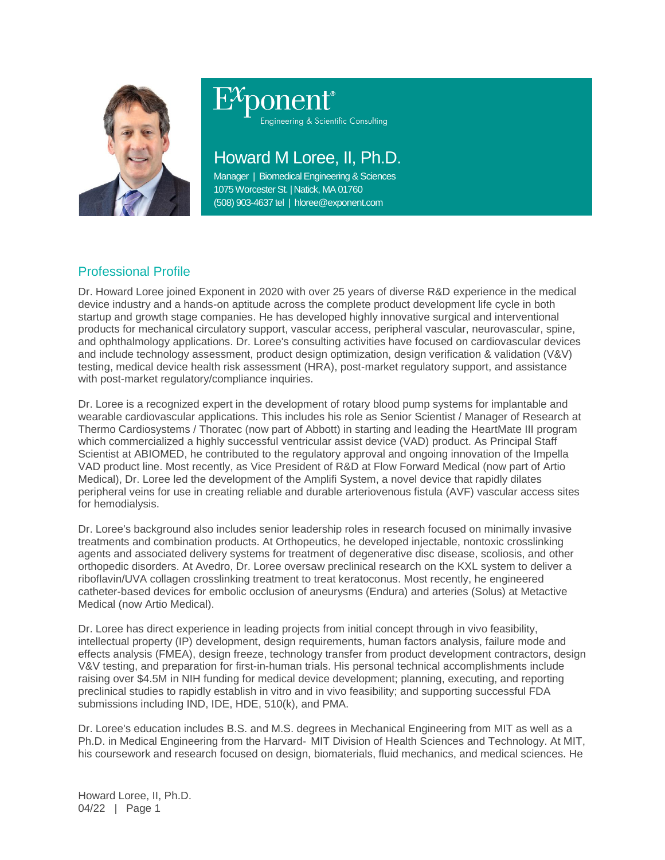

# Engineering & Scientific Consulting

## Howard M Loree, II, Ph.D.

Manager | Biomedical Engineering & Sciences 1075 Worcester St. | Natick, MA 01760 (508) 903-4637 tel | hloree@exponent.com

### Professional Profile

Dr. Howard Loree joined Exponent in 2020 with over 25 years of diverse R&D experience in the medical device industry and a hands-on aptitude across the complete product development life cycle in both startup and growth stage companies. He has developed highly innovative surgical and interventional products for mechanical circulatory support, vascular access, peripheral vascular, neurovascular, spine, and ophthalmology applications. Dr. Loree's consulting activities have focused on cardiovascular devices and include technology assessment, product design optimization, design verification & validation (V&V) testing, medical device health risk assessment (HRA), post-market regulatory support, and assistance with post-market regulatory/compliance inquiries.

Dr. Loree is a recognized expert in the development of rotary blood pump systems for implantable and wearable cardiovascular applications. This includes his role as Senior Scientist / Manager of Research at Thermo Cardiosystems / Thoratec (now part of Abbott) in starting and leading the HeartMate III program which commercialized a highly successful ventricular assist device (VAD) product. As Principal Staff Scientist at ABIOMED, he contributed to the regulatory approval and ongoing innovation of the Impella VAD product line. Most recently, as Vice President of R&D at Flow Forward Medical (now part of Artio Medical), Dr. Loree led the development of the Amplifi System, a novel device that rapidly dilates peripheral veins for use in creating reliable and durable arteriovenous fistula (AVF) vascular access sites for hemodialysis.

Dr. Loree's background also includes senior leadership roles in research focused on minimally invasive treatments and combination products. At Orthopeutics, he developed injectable, nontoxic crosslinking agents and associated delivery systems for treatment of degenerative disc disease, scoliosis, and other orthopedic disorders. At Avedro, Dr. Loree oversaw preclinical research on the KXL system to deliver a riboflavin/UVA collagen crosslinking treatment to treat keratoconus. Most recently, he engineered catheter-based devices for embolic occlusion of aneurysms (Endura) and arteries (Solus) at Metactive Medical (now Artio Medical).

Dr. Loree has direct experience in leading projects from initial concept through in vivo feasibility, intellectual property (IP) development, design requirements, human factors analysis, failure mode and effects analysis (FMEA), design freeze, technology transfer from product development contractors, design V&V testing, and preparation for first-in-human trials. His personal technical accomplishments include raising over \$4.5M in NIH funding for medical device development; planning, executing, and reporting preclinical studies to rapidly establish in vitro and in vivo feasibility; and supporting successful FDA submissions including IND, IDE, HDE, 510(k), and PMA.

Dr. Loree's education includes B.S. and M.S. degrees in Mechanical Engineering from MIT as well as a Ph.D. in Medical Engineering from the Harvard‐ MIT Division of Health Sciences and Technology. At MIT, his coursework and research focused on design, biomaterials, fluid mechanics, and medical sciences. He

Howard Loree, II, Ph.D. 04/22 | Page 1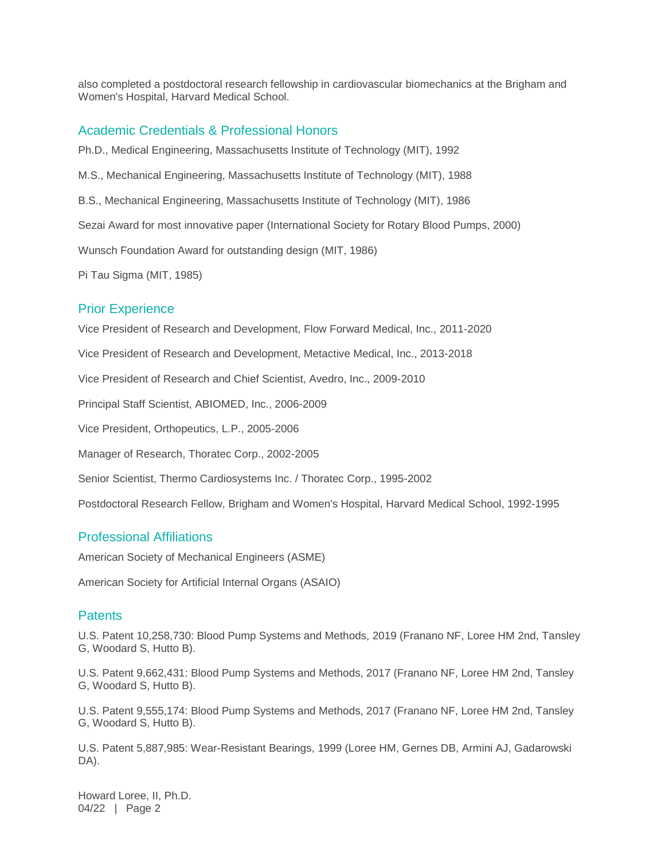also completed a postdoctoral research fellowship in cardiovascular biomechanics at the Brigham and Women's Hospital, Harvard Medical School.

#### Academic Credentials & Professional Honors

Ph.D., Medical Engineering, Massachusetts Institute of Technology (MIT), 1992 M.S., Mechanical Engineering, Massachusetts Institute of Technology (MIT), 1988 B.S., Mechanical Engineering, Massachusetts Institute of Technology (MIT), 1986 Sezai Award for most innovative paper (International Society for Rotary Blood Pumps, 2000) Wunsch Foundation Award for outstanding design (MIT, 1986) Pi Tau Sigma (MIT, 1985) Prior Experience Vice President of Research and Development, Flow Forward Medical, Inc., 2011-2020 Vice President of Research and Development, Metactive Medical, Inc., 2013-2018 Vice President of Research and Chief Scientist, Avedro, Inc., 2009-2010 Principal Staff Scientist, ABIOMED, Inc., 2006-2009 Vice President, Orthopeutics, L.P., 2005-2006 Manager of Research, Thoratec Corp., 2002-2005 Senior Scientist, Thermo Cardiosystems Inc. / Thoratec Corp., 1995-2002 Postdoctoral Research Fellow, Brigham and Women's Hospital, Harvard Medical School, 1992-1995

#### Professional Affiliations

American Society of Mechanical Engineers (ASME)

American Society for Artificial Internal Organs (ASAIO)

#### **Patents**

U.S. Patent 10,258,730: Blood Pump Systems and Methods, 2019 (Franano NF, Loree HM 2nd, Tansley G, Woodard S, Hutto B).

U.S. Patent 9,662,431: Blood Pump Systems and Methods, 2017 (Franano NF, Loree HM 2nd, Tansley G, Woodard S, Hutto B).

U.S. Patent 9,555,174: Blood Pump Systems and Methods, 2017 (Franano NF, Loree HM 2nd, Tansley G, Woodard S, Hutto B).

U.S. Patent 5,887,985: Wear-Resistant Bearings, 1999 (Loree HM, Gernes DB, Armini AJ, Gadarowski DA).

Howard Loree, II, Ph.D. 04/22 | Page 2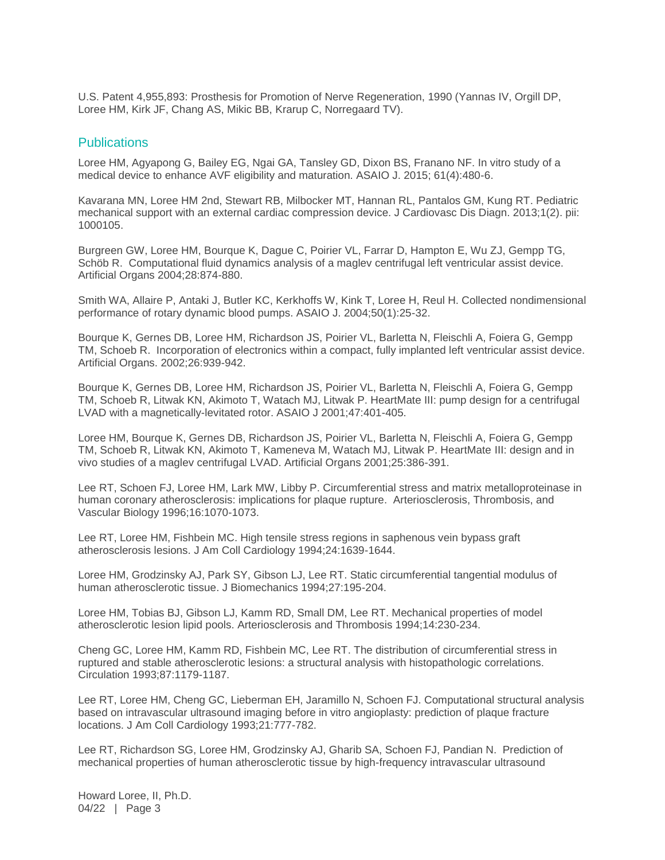U.S. Patent 4,955,893: Prosthesis for Promotion of Nerve Regeneration, 1990 (Yannas IV, Orgill DP, Loree HM, Kirk JF, Chang AS, Mikic BB, Krarup C, Norregaard TV).

#### **Publications**

Loree HM, Agyapong G, Bailey EG, Ngai GA, Tansley GD, Dixon BS, Franano NF. In vitro study of a medical device to enhance AVF eligibility and maturation. ASAIO J. 2015; 61(4):480-6.

Kavarana MN, Loree HM 2nd, Stewart RB, Milbocker MT, Hannan RL, Pantalos GM, Kung RT. Pediatric mechanical support with an external cardiac compression device. J Cardiovasc Dis Diagn. 2013;1(2). pii: 1000105.

Burgreen GW, Loree HM, Bourque K, Dague C, Poirier VL, Farrar D, Hampton E, Wu ZJ, Gempp TG, Schöb R. Computational fluid dynamics analysis of a maglev centrifugal left ventricular assist device. Artificial Organs 2004;28:874-880.

Smith WA, Allaire P, Antaki J, Butler KC, Kerkhoffs W, Kink T, Loree H, Reul H. Collected nondimensional performance of rotary dynamic blood pumps. ASAIO J. 2004;50(1):25-32.

Bourque K, Gernes DB, Loree HM, Richardson JS, Poirier VL, Barletta N, Fleischli A, Foiera G, Gempp TM, Schoeb R. Incorporation of electronics within a compact, fully implanted left ventricular assist device. Artificial Organs. 2002;26:939-942.

Bourque K, Gernes DB, Loree HM, Richardson JS, Poirier VL, Barletta N, Fleischli A, Foiera G, Gempp TM, Schoeb R, Litwak KN, Akimoto T, Watach MJ, Litwak P. HeartMate III: pump design for a centrifugal LVAD with a magnetically-levitated rotor. ASAIO J 2001;47:401-405.

Loree HM, Bourque K, Gernes DB, Richardson JS, Poirier VL, Barletta N, Fleischli A, Foiera G, Gempp TM, Schoeb R, Litwak KN, Akimoto T, Kameneva M, Watach MJ, Litwak P. HeartMate III: design and in vivo studies of a maglev centrifugal LVAD. Artificial Organs 2001;25:386-391.

Lee RT, Schoen FJ, Loree HM, Lark MW, Libby P. Circumferential stress and matrix metalloproteinase in human coronary atherosclerosis: implications for plaque rupture. Arteriosclerosis, Thrombosis, and Vascular Biology 1996;16:1070-1073.

Lee RT, Loree HM, Fishbein MC. High tensile stress regions in saphenous vein bypass graft atherosclerosis lesions. J Am Coll Cardiology 1994;24:1639-1644.

Loree HM, Grodzinsky AJ, Park SY, Gibson LJ, Lee RT. Static circumferential tangential modulus of human atherosclerotic tissue. J Biomechanics 1994;27:195-204.

Loree HM, Tobias BJ, Gibson LJ, Kamm RD, Small DM, Lee RT. Mechanical properties of model atherosclerotic lesion lipid pools. Arteriosclerosis and Thrombosis 1994;14:230-234.

Cheng GC, Loree HM, Kamm RD, Fishbein MC, Lee RT. The distribution of circumferential stress in ruptured and stable atherosclerotic lesions: a structural analysis with histopathologic correlations. Circulation 1993;87:1179-1187.

Lee RT, Loree HM, Cheng GC, Lieberman EH, Jaramillo N, Schoen FJ. Computational structural analysis based on intravascular ultrasound imaging before in vitro angioplasty: prediction of plaque fracture locations. J Am Coll Cardiology 1993;21:777-782.

Lee RT, Richardson SG, Loree HM, Grodzinsky AJ, Gharib SA, Schoen FJ, Pandian N. Prediction of mechanical properties of human atherosclerotic tissue by high-frequency intravascular ultrasound

Howard Loree, II, Ph.D. 04/22 | Page 3